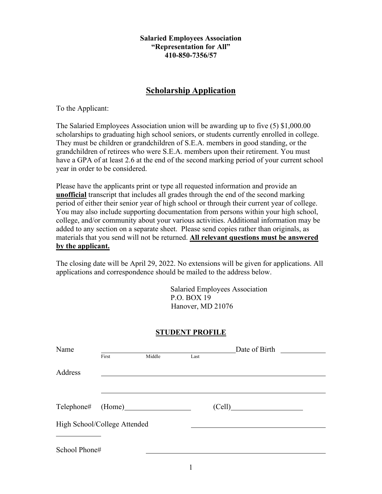**Salaried Employees Association "Representation for All" 410-850-7356/57**

# **Scholarship Application**

To the Applicant:

The Salaried Employees Association union will be awarding up to five (5) \$1,000.00 scholarships to graduating high school seniors, or students currently enrolled in college. They must be children or grandchildren of S.E.A. members in good standing, or the grandchildren of retirees who were S.E.A. members upon their retirement. You must have a GPA of at least 2.6 at the end of the second marking period of your current school year in order to be considered.

Please have the applicants print or type all requested information and provide an **unofficial** transcript that includes all grades through the end of the second marking period of either their senior year of high school or through their current year of college. You may also include supporting documentation from persons within your high school, college, and/or community about your various activities. Additional information may be added to any section on a separate sheet. Please send copies rather than originals, as materials that you send will not be returned. **All relevant questions must be answered by the applicant.**

The closing date will be April 29, 2022. No extensions will be given for applications. All applications and correspondence should be mailed to the address below.

> Salaried Employees Association P.O. BOX 19 Hanover, MD 21076

# **STUDENT PROFILE**

| Name                         |       |        |      | Date of Birth |  |  |
|------------------------------|-------|--------|------|---------------|--|--|
|                              | First | Middle | Last |               |  |  |
| Address                      |       |        |      |               |  |  |
|                              |       |        |      |               |  |  |
|                              |       |        |      | (Cell)        |  |  |
| High School/College Attended |       |        |      |               |  |  |
|                              |       |        |      |               |  |  |
| School Phone#                |       |        |      |               |  |  |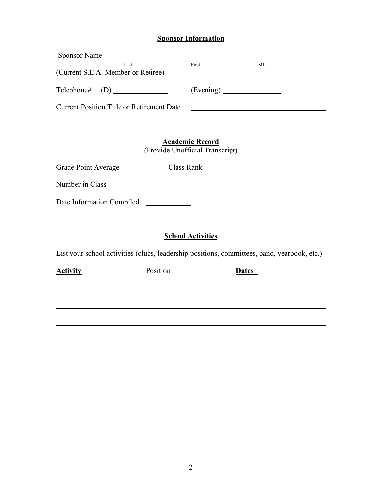# **Sponsor Information**

| <b>Sponsor Name</b>                                                                         |          |                                                           |              |  |  |
|---------------------------------------------------------------------------------------------|----------|-----------------------------------------------------------|--------------|--|--|
| Last<br>(Current S.E.A. Member or Retiree)                                                  |          | First                                                     | MI.          |  |  |
|                                                                                             |          |                                                           |              |  |  |
| <b>Current Position Title or Retirement Date</b>                                            |          |                                                           |              |  |  |
|                                                                                             |          |                                                           |              |  |  |
|                                                                                             |          | <b>Academic Record</b><br>(Provide Unofficial Transcript) |              |  |  |
| Grade Point Average _________________Class Rank                                             |          |                                                           |              |  |  |
| Number in Class                                                                             |          |                                                           |              |  |  |
| Date Information Compiled                                                                   |          |                                                           |              |  |  |
|                                                                                             |          |                                                           |              |  |  |
|                                                                                             |          | <b>School Activities</b>                                  |              |  |  |
| List your school activities (clubs, leadership positions, committees, band, yearbook, etc.) |          |                                                           |              |  |  |
| <b>Activity</b>                                                                             | Position |                                                           | <b>Dates</b> |  |  |
|                                                                                             |          |                                                           |              |  |  |
|                                                                                             |          |                                                           |              |  |  |
|                                                                                             |          |                                                           |              |  |  |
|                                                                                             |          |                                                           |              |  |  |
|                                                                                             |          |                                                           |              |  |  |
|                                                                                             |          |                                                           |              |  |  |
|                                                                                             |          |                                                           |              |  |  |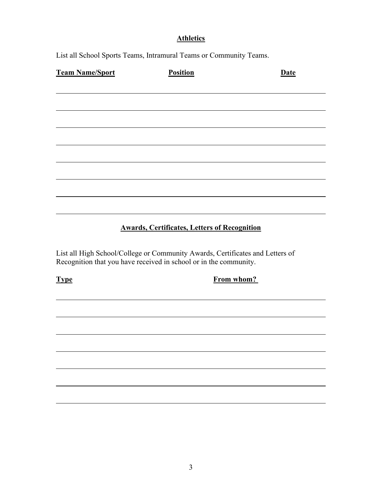# **Athletics**

List all School Sports Teams, Intramural Teams or Community Teams.

| <b>Team Name/Sport</b> | <b>Position</b>                                     | <b>Date</b> |
|------------------------|-----------------------------------------------------|-------------|
|                        |                                                     |             |
|                        |                                                     |             |
|                        |                                                     |             |
|                        |                                                     |             |
|                        |                                                     |             |
|                        |                                                     |             |
|                        |                                                     |             |
|                        |                                                     |             |
|                        | <b>Awards, Certificates, Letters of Recognition</b> |             |

List all High School/College or Community Awards, Certificates and Letters of Recognition that you have received in school or in the community.

**Type From whom?**